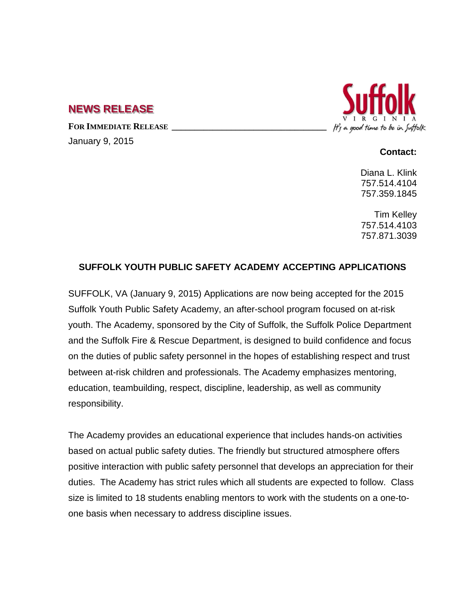## **NEWS RELEASE**

FOR **IMMEDIATE RELEASE** 

January 9, 2015



## **Contact:**

Diana L. Klink 757.514.4104 757.359.1845

Tim Kelley 757.514.4103 757.871.3039

## **SUFFOLK YOUTH PUBLIC SAFETY ACADEMY ACCEPTING APPLICATIONS**

SUFFOLK, VA (January 9, 2015) Applications are now being accepted for the 2015 Suffolk Youth Public Safety Academy, an after-school program focused on at-risk youth. The Academy, sponsored by the City of Suffolk, the Suffolk Police Department and the Suffolk Fire & Rescue Department, is designed to build confidence and focus on the duties of public safety personnel in the hopes of establishing respect and trust between at-risk children and professionals. The Academy emphasizes mentoring, education, teambuilding, respect, discipline, leadership, as well as community responsibility.

The Academy provides an educational experience that includes hands-on activities based on actual public safety duties. The friendly but structured atmosphere offers positive interaction with public safety personnel that develops an appreciation for their duties. The Academy has strict rules which all students are expected to follow. Class size is limited to 18 students enabling mentors to work with the students on a one-toone basis when necessary to address discipline issues.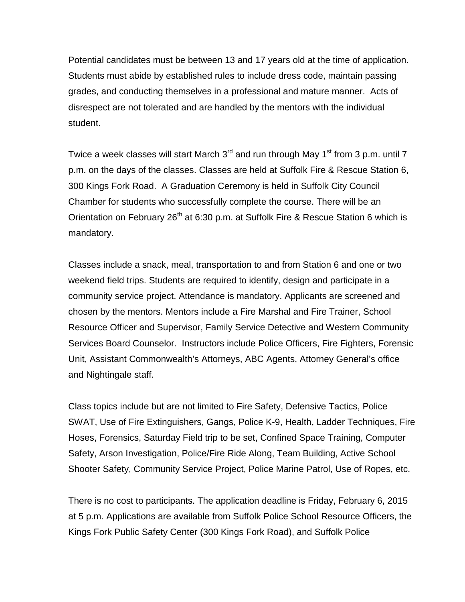Potential candidates must be between 13 and 17 years old at the time of application. Students must abide by established rules to include dress code, maintain passing grades, and conducting themselves in a professional and mature manner. Acts of disrespect are not tolerated and are handled by the mentors with the individual student.

Twice a week classes will start March  $3<sup>rd</sup>$  and run through May 1<sup>st</sup> from 3 p.m. until 7 p.m. on the days of the classes. Classes are held at Suffolk Fire & Rescue Station 6, 300 Kings Fork Road. A Graduation Ceremony is held in Suffolk City Council Chamber for students who successfully complete the course. There will be an Orientation on February 26<sup>th</sup> at 6:30 p.m. at Suffolk Fire & Rescue Station 6 which is mandatory.

Classes include a snack, meal, transportation to and from Station 6 and one or two weekend field trips. Students are required to identify, design and participate in a community service project. Attendance is mandatory. Applicants are screened and chosen by the mentors. Mentors include a Fire Marshal and Fire Trainer, School Resource Officer and Supervisor, Family Service Detective and Western Community Services Board Counselor. Instructors include Police Officers, Fire Fighters, Forensic Unit, Assistant Commonwealth's Attorneys, ABC Agents, Attorney General's office and Nightingale staff.

Class topics include but are not limited to Fire Safety, Defensive Tactics, Police SWAT, Use of Fire Extinguishers, Gangs, Police K-9, Health, Ladder Techniques, Fire Hoses, Forensics, Saturday Field trip to be set, Confined Space Training, Computer Safety, Arson Investigation, Police/Fire Ride Along, Team Building, Active School Shooter Safety, Community Service Project, Police Marine Patrol, Use of Ropes, etc.

There is no cost to participants. The application deadline is Friday, February 6, 2015 at 5 p.m. Applications are available from Suffolk Police School Resource Officers, the Kings Fork Public Safety Center (300 Kings Fork Road), and Suffolk Police